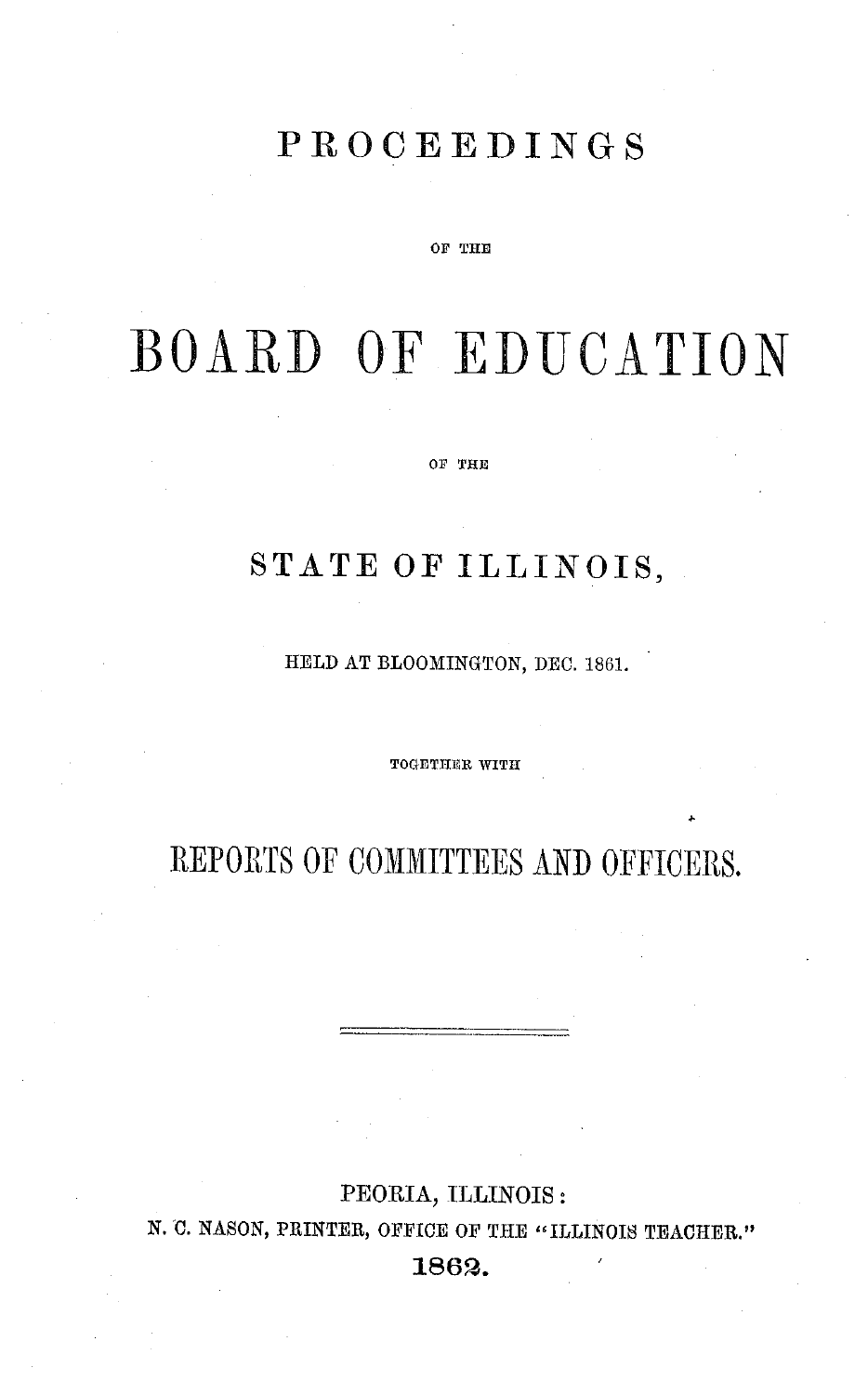## **PROCEEDINGS**

#### OF THE

# BOARD OF EDUCATION

OF THE

## STATE **OF ILLINOIS,**

HELD AT BLOOMINGTON, DEC. 1861.

**TOGETHER WITH**

REPORTS OF COMMITTEES AND OFFICERS.

### **PEORIA, ILLINOIS:**

N. *'0.* NASON, PRINTER, OFFICE OF THE "ILLINOIS TEACHER."

**1862.**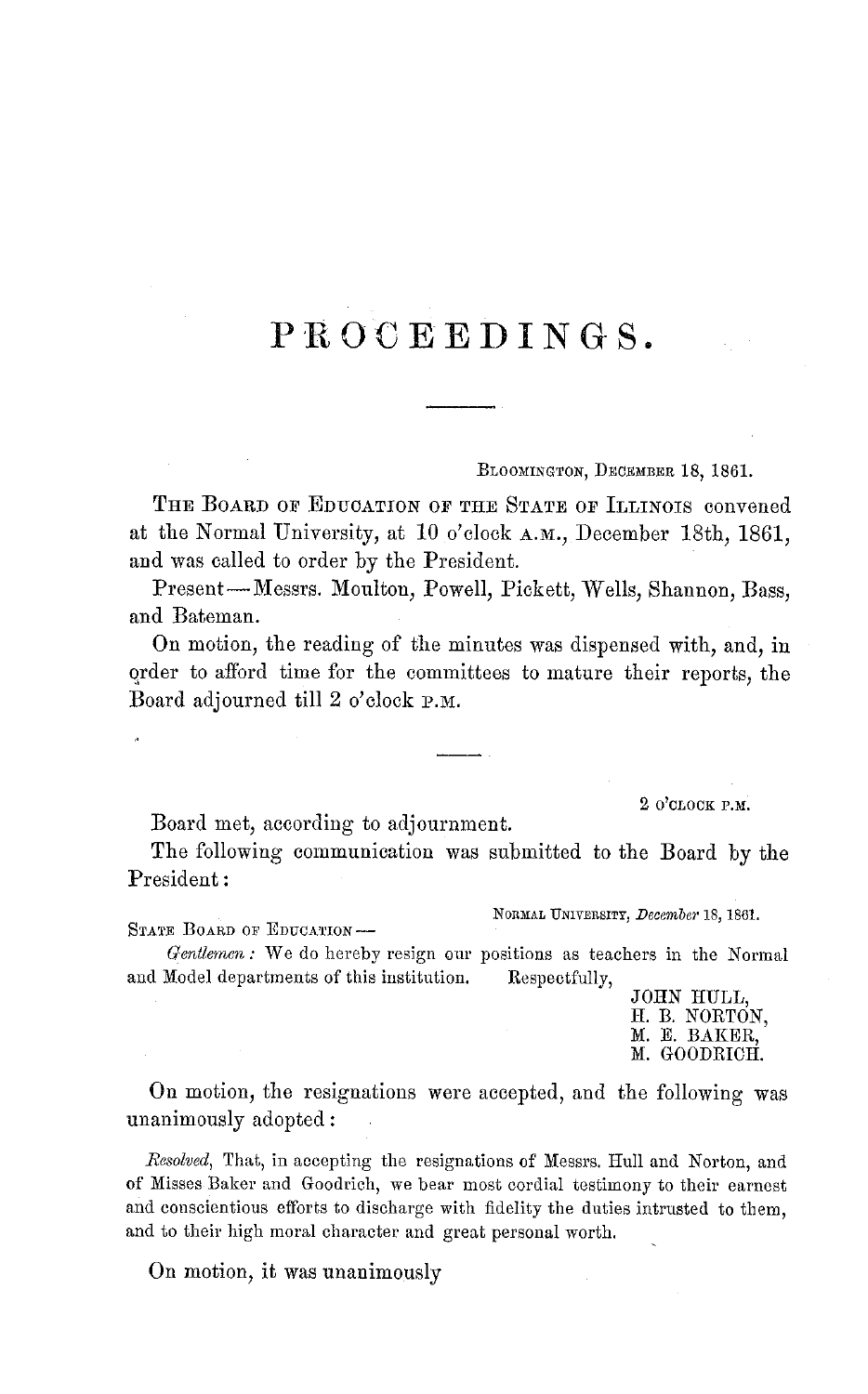## **PROCEEDINGS.**

BLOOMINGTON, DECEMBER 18, 1861.

THE BOARD OF EDUCATION OF THE STATE OF ILLINOIS convened at the Normal University, at 10 o'clock A.M., December 18th, 1861, and was called to order by the President.

Present-Messrs. Moulton, Powell, Pickett, Wells, Shannon, Bass, and Bateman.

On motion, the reading of the minutes was dispensed with, and, in order to afford time for the committees to mature their reports, the Board adjourned till 2 o'clock P.M.

2 O'CLOCK P.M.

Board met, according to adjournment.

The following communication was submitted to the Board by the President:

STATE BOARD OF EDUCATION-

NORMAL UNIVERSITY, *December* 18, 1861.

*Gentlemen:* We do hereby resign our positions as teachers in the Normal and Model departments of this institution. Respectfully,

JOHN HULL, H. B. NORTON, M. E. BAKER, M. GOODRICH.

On motion, the resignations were accepted, and the following was unanimously adopted:

*Resolved,* That, in accepting the resignations of Messrs. Hull and Norton, and of Misses Baker and Goodrich, we bear most cordial testimony to their earnest and conscientious efforts to discharge with fidelity the duties intrusted to them, and to their high moral character and great personal worth.

On motion, it was unanimously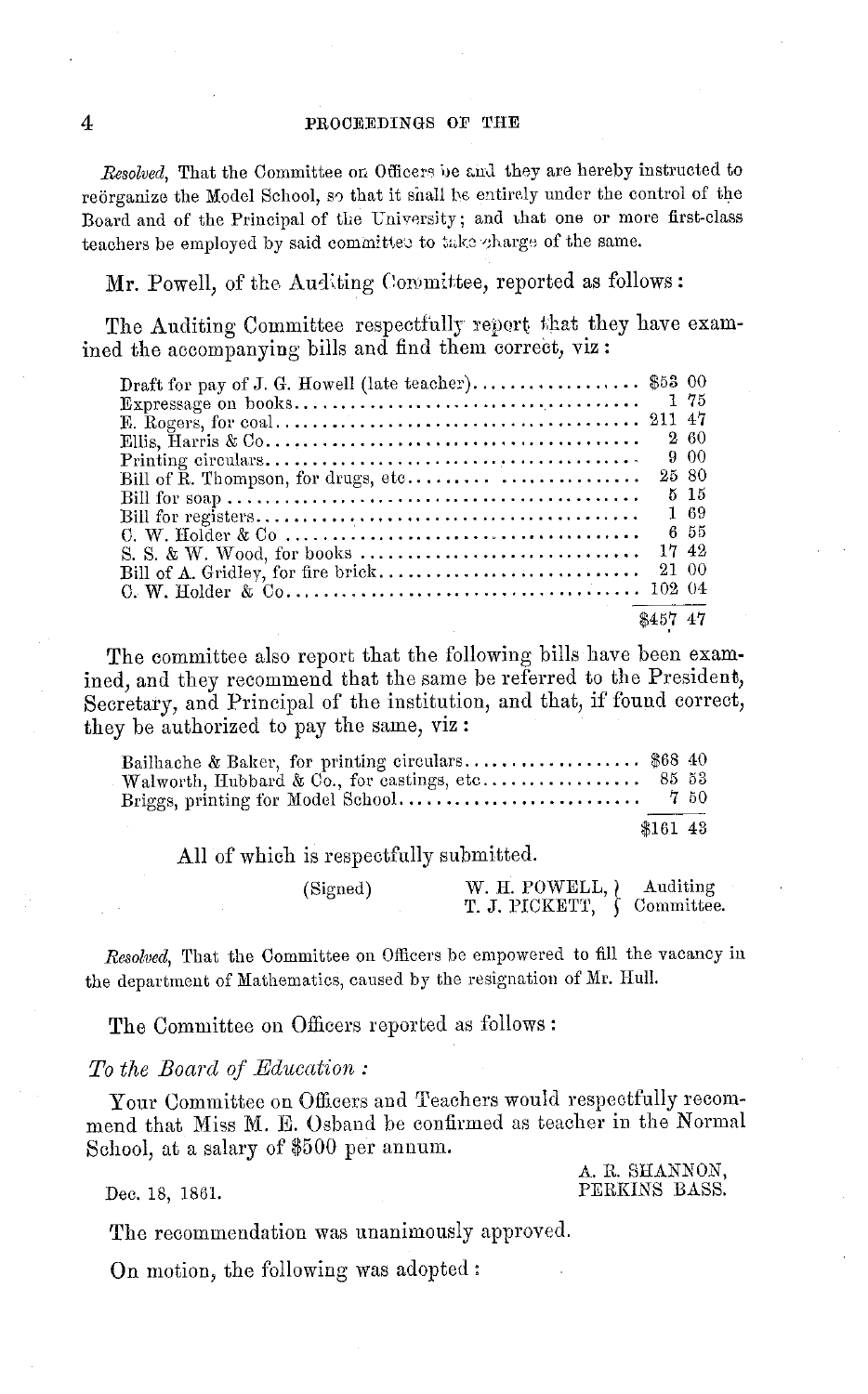#### PROCEEDINGS OF THE

*Resolved,* That the Committee on Officers be and they are hereby instructed to reorganize the Model School, so that it shall be entirely under the control of the Board and of the Principal of the University; and chat one or more first-class teachers be employed by said committee to take charge of the same.

Mr. Powell, of the Auditing Coromittee, reported as follows:

The Auditing Committee respectfully report that they have examined the accompanying bills and find them correct, viz:

| Draft for pay of J. G. Howell (late teacher) \$53 00 |          |        |
|------------------------------------------------------|----------|--------|
|                                                      |          |        |
|                                                      |          |        |
|                                                      |          | 260    |
|                                                      |          | 900    |
|                                                      | 25 80    |        |
|                                                      |          | $5-15$ |
|                                                      |          | 1 69   |
|                                                      |          | 6 55   |
|                                                      | 17,42    |        |
|                                                      | 21 00    |        |
|                                                      |          |        |
|                                                      | \$457 47 |        |

The committee also report that the following bills have been examined, and they recommend that the same be referred to the President, Secretary, and Principal of the institution, and that, if found correct, they be authorized to pay the same, viz:

| Bailhache & Baker, for printing circulars \$68 40 |         |  |
|---------------------------------------------------|---------|--|
|                                                   |         |  |
|                                                   | *161 43 |  |

All of which is respectfully submitted.

| (Signed) | W. H. POWELL, <i>Auditing</i>    |  |
|----------|----------------------------------|--|
|          | T. J. PICKETT, $\int$ Committee. |  |

*Resolved,* That the Committee on Officers be empowered to fill the vacancy in the department of Mathematics, caused by the resignation of Mr. Hull.

The Committee on Officers reported as follows:

#### *To the Board of Education:*

Your Committee on Officers and Teachers would respectfully recommend that Miss M. E. Osband be confirmed as teacher in the Normal School, at a salary of \$500 per annum.

A. R. SHANNON, PERKINS BASS.

Dec. 18, 1861.

The recommendation was unanimously approved.

On motion, the following was adopted:

4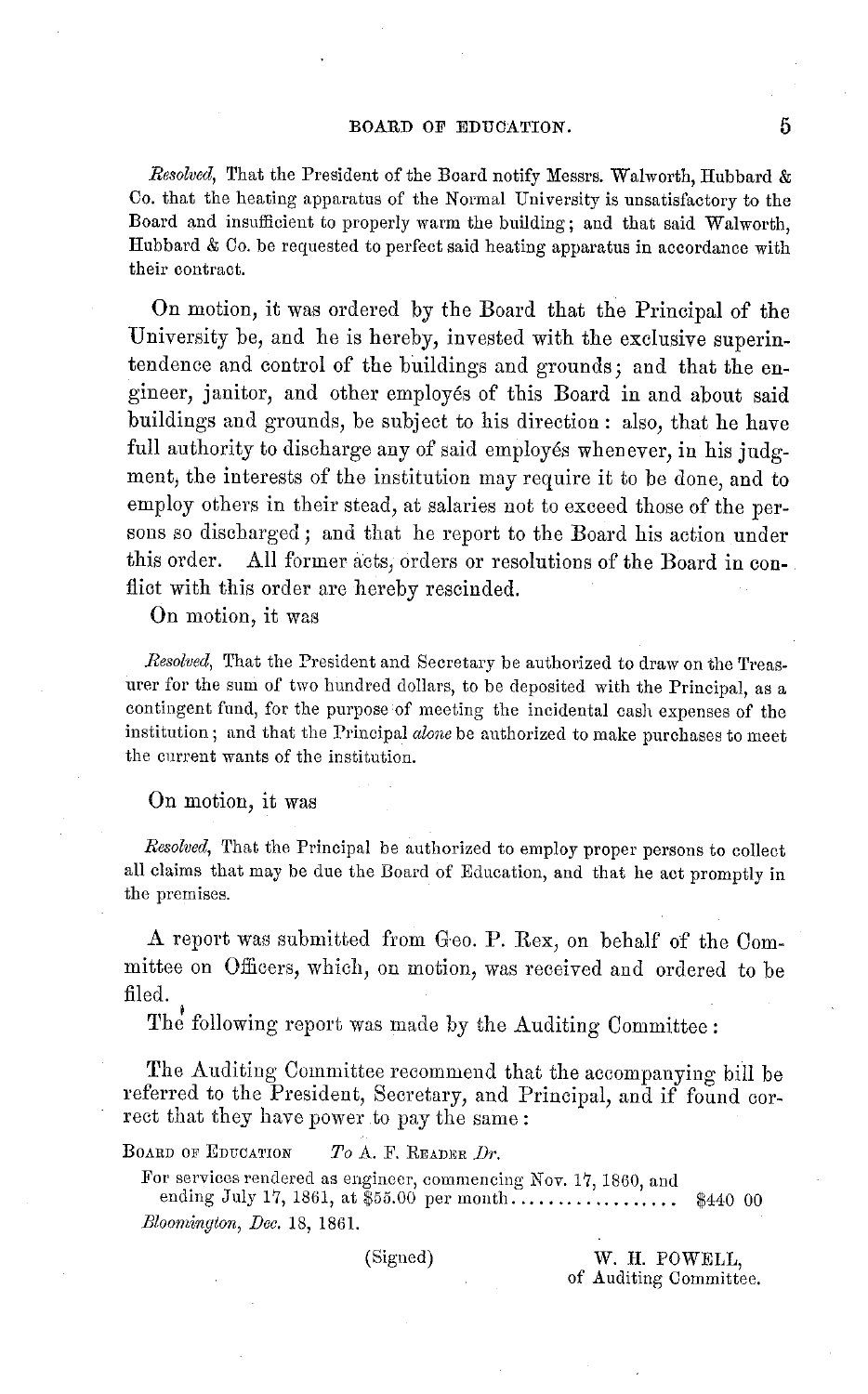#### BOARD **OF** EDUCATION.

*Resolved,* That the President of the Board notify Messrs. Walworth, Hubbard & Co. that the heating apparatus of the Normal University is unsatisfactory to the Board and insufficient to properly warm the building; and that said Walworth, Hubbard & Co. be requested to perfect said heating apparatus in accordance with their contract.

On motion, it was ordered by the Board that the Principal of the University be, and he is hereby, invested with the exclusive superintendence and control of the buildings and grounds; and that the engineer, janitor, and other employ6s of this Board in and about said buildings and grounds, be subject to his direction: also, that he have full authority to discharge any of said employés whenever, in his judgment, the interests of the institution may require it to be done, and to employ others in their stead, at salaries not to exceed those of the persons so discharged; and that he report to the Board his action under this order. All former acts, orders or resolutions of the Board in conflict with this order are hereby rescinded.

On motion, it was

*Resolved,* That the President and Secretary be authorized to draw on the Treasurer for the sum of two hundred dollars, to be deposited with the Principal, as a contingent fund, for the purpose of meeting the incidental cash expenses of the institution; and that the Principal *alone* be authorized to make purchases to meet the current wants of the institution.

#### On motion, it was

*Resolved,* That the Principal be authorized to employ proper persons to collect all claims that may be due the Board of Education, and that he act promptly in the premises.

A report was submitted from Geo. P. Rex, on behalf of the Committee on Officers, which, on motion, was received and ordered to be filed.

The following report was made by the Auditing Committee:

The Auditing Committee recommend that the accompanying bill be referred to the President, Secretary, and Principal, and if found correct that they have power to pay the same:

BOARD OF EDUCATION *To* A. F. READER *Dr.*

For services rendered as engineer, commencing Nov. 17, 1860, and

ending July 17, 1861, at \$55.00 per month .................. \$440 00 *Bloomrzigton, Dec.* 18, 1861.

(Signed) W. I. POWELL, of Auditing Committee.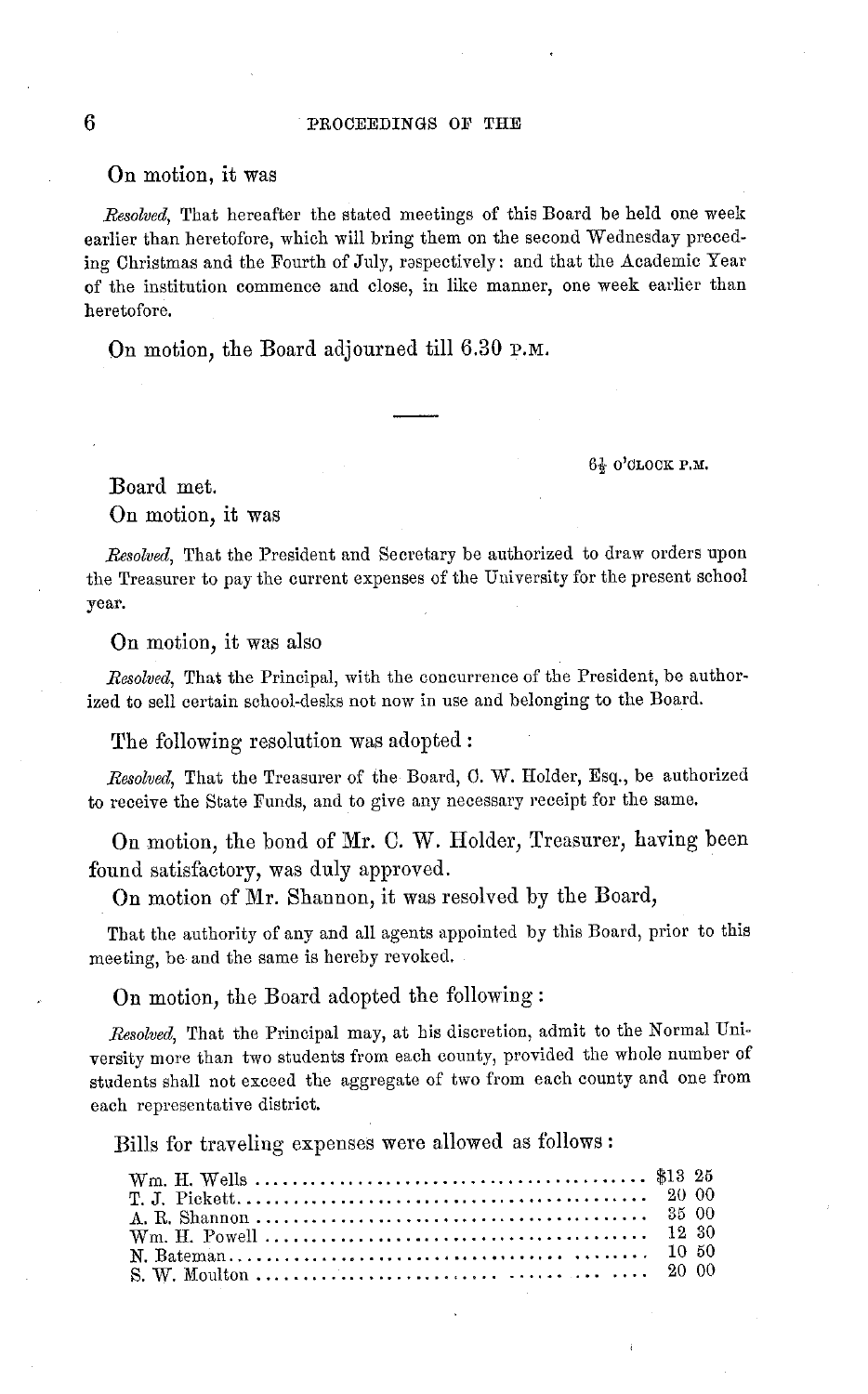#### On motion, it was

*Resolved,* That hereafter the stated meetings of this Board be held one week earlier than heretofore, which will bring them on the second Wednesday preceding Christmas and the Fourth of July, respectively: and that the Academic Year of the institution commence and close, in like manner, one week earlier than heretofore.

On motion, the Board adjourned till 6.30 P.M.

61 O'CLOCK P.M.

Board met.

On motion, it was

*Resolved,* That the President and Secretary be authorized to draw orders upon the Treasurer to pay the current expenses of the University for the present school year.

On motion, it was also

*Resolved,* That the Principal, with the concurrence of the President, be authorized to sell certain school-desks not now in use and belonging to the Board.

The following resolution was adopted:

*Resolved,* That the Treasurer of the Board, C. W. Holder, Esq., be authorized to receive the State Funds, and to give any necessary receipt for the same.

On motion, the bond of Mr. C. W. Holder, Treasurer, having been found satisfactory, was duly approved.

On motion of Mr. Shannon, it was resolved by the Board,

That the authority of any and all agents appointed by this Board, prior to this meeting, be and the same is hereby revoked.

On motion, the Board adopted the following:

*Resolved,* That the Principal may, at his discretion, admit to the Normal University more than two students from each county, provided the whole number of students shall not exceed the aggregate of two from each county and one from each representative district.

Bills for traveling expenses were allowed as follows: